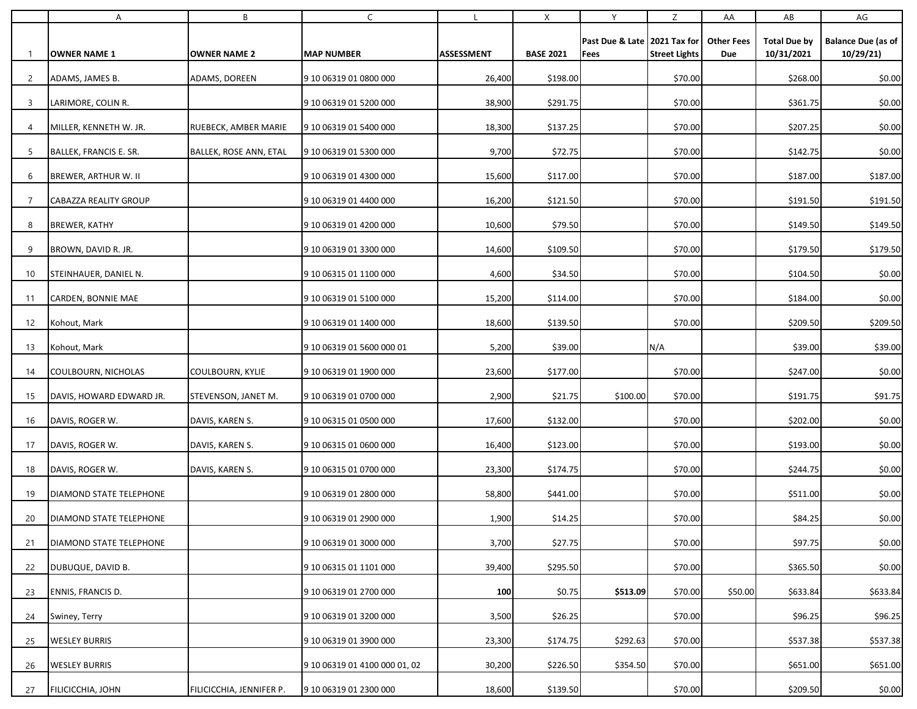|                | Α                        | B                        | C                             |                   | X                | Y                                      | Ζ                    | AA                       | AB                                | AG                                     |
|----------------|--------------------------|--------------------------|-------------------------------|-------------------|------------------|----------------------------------------|----------------------|--------------------------|-----------------------------------|----------------------------------------|
| $\overline{1}$ | <b>OWNER NAME 1</b>      | <b>OWNER NAME 2</b>      | <b>MAP NUMBER</b>             | <b>ASSESSMENT</b> | <b>BASE 2021</b> | Past Due & Late   2021 Tax for<br>Fees | <b>Street Lights</b> | <b>Other Fees</b><br>Due | <b>Total Due by</b><br>10/31/2021 | <b>Balance Due (as of</b><br>10/29/21) |
| 2              | ADAMS, JAMES B.          | ADAMS, DOREEN            | 9 10 06319 01 0800 000        | 26,400            | \$198.00         |                                        | \$70.00              |                          | \$268.00                          | \$0.00                                 |
| $\overline{3}$ | LARIMORE, COLIN R.       |                          | 9 10 06319 01 5200 000        | 38,900            | \$291.75         |                                        | \$70.00              |                          | \$361.75                          | \$0.00                                 |
| 4              | MILLER, KENNETH W. JR.   | RUEBECK, AMBER MARIE     | 9 10 06319 01 5400 000        | 18,300            | \$137.25         |                                        | \$70.00              |                          | \$207.25                          | \$0.00                                 |
| -5             | BALLEK, FRANCIS E. SR.   | BALLEK, ROSE ANN, ETAL   | 9 10 06319 01 5300 000        | 9,700             | \$72.75          |                                        | \$70.00              |                          | \$142.75                          | \$0.00                                 |
| 6              | BREWER, ARTHUR W. II     |                          | 9 10 06319 01 4300 000        | 15,600            | \$117.00         |                                        | \$70.00              |                          | \$187.00                          | \$187.00                               |
| 7              | CABAZZA REALITY GROUP    |                          | 9 10 06319 01 4400 000        | 16,200            | \$121.50         |                                        | \$70.00              |                          | \$191.50                          | \$191.50                               |
| 8              | <b>BREWER, KATHY</b>     |                          | 9 10 06319 01 4200 000        | 10,600            | \$79.50          |                                        | \$70.00              |                          | \$149.50                          | \$149.50                               |
| 9              | BROWN, DAVID R. JR.      |                          | 9 10 06319 01 3300 000        | 14,600            | \$109.50         |                                        | \$70.00              |                          | \$179.50                          | \$179.50                               |
| 10             | STEINHAUER, DANIEL N.    |                          | 9 10 06315 01 1100 000        | 4,600             | \$34.50          |                                        | \$70.00              |                          | \$104.50                          | \$0.00                                 |
| 11             | CARDEN, BONNIE MAE       |                          | 9 10 06319 01 5100 000        | 15,200            | \$114.00         |                                        | \$70.00              |                          | \$184.00                          | \$0.00                                 |
| 12             | Kohout, Mark             |                          | 9 10 06319 01 1400 000        | 18,600            | \$139.50         |                                        | \$70.00              |                          | \$209.50                          | \$209.50                               |
| 13             | Kohout, Mark             |                          | 9 10 06319 01 5600 000 01     | 5,200             | \$39.00          |                                        | N/A                  |                          | \$39.00                           | \$39.00                                |
| 14             | COULBOURN, NICHOLAS      | <b>COULBOURN, KYLIE</b>  | 9 10 06319 01 1900 000        | 23,600            | \$177.00         |                                        | \$70.00              |                          | \$247.00                          | \$0.00                                 |
| 15             | DAVIS, HOWARD EDWARD JR. | STEVENSON, JANET M.      | 9 10 06319 01 0700 000        | 2,900             | \$21.75          | \$100.00                               | \$70.00              |                          | \$191.75                          | \$91.75                                |
| 16             | DAVIS, ROGER W.          | DAVIS, KAREN S.          | 9 10 06315 01 0500 000        | 17,600            | \$132.00         |                                        | \$70.00              |                          | \$202.00                          | \$0.00                                 |
| 17             | DAVIS, ROGER W.          | DAVIS, KAREN S.          | 9 10 06315 01 0600 000        | 16,400            | \$123.00         |                                        | \$70.00              |                          | \$193.00                          | \$0.00                                 |
| 18             | DAVIS, ROGER W.          | DAVIS, KAREN S.          | 9 10 06315 01 0700 000        | 23,300            | \$174.75         |                                        | \$70.00              |                          | \$244.75                          | \$0.00                                 |
| 19             | DIAMOND STATE TELEPHONE  |                          | 9 10 06319 01 2800 000        | 58,800            | \$441.00         |                                        | \$70.00              |                          | \$511.00                          | \$0.00                                 |
| 20             | DIAMOND STATE TELEPHONE  |                          | 9 10 06319 01 2900 000        | 1,900             | \$14.25          |                                        | \$70.00              |                          | \$84.25                           | \$0.00                                 |
| 21             | DIAMOND STATE TELEPHONE  |                          | 9 10 06319 01 3000 000        | 3,700             | \$27.75          |                                        | \$70.00              |                          | \$97.75                           | \$0.00                                 |
| 22             | DUBUQUE, DAVID B.        |                          | 9 10 06315 01 1101 000        | 39,400            | \$295.50         |                                        | \$70.00              |                          | \$365.50                          | \$0.00                                 |
| 23             | ENNIS, FRANCIS D.        |                          | 9 10 06319 01 2700 000        | 100               | \$0.75           | \$513.09                               | \$70.00              | \$50.00                  | \$633.84                          | \$633.84                               |
| 24             | Swiney, Terry            |                          | 9 10 06319 01 3200 000        | 3,500             | \$26.25          |                                        | \$70.00              |                          | \$96.25                           | \$96.25                                |
| 25             | <b>WESLEY BURRIS</b>     |                          | 9 10 06319 01 3900 000        | 23,300            | \$174.75         | \$292.63                               | \$70.00              |                          | \$537.38                          | \$537.38                               |
| 26             | <b>WESLEY BURRIS</b>     |                          | 9 10 06319 01 4100 000 01, 02 | 30,200            | \$226.50         | \$354.50                               | \$70.00              |                          | \$651.00                          | \$651.00                               |
| 27             | FILICICCHIA, JOHN        | FILICICCHIA, JENNIFER P. | 9 10 06319 01 2300 000        | 18,600            | \$139.50         |                                        | \$70.00              |                          | \$209.50                          | \$0.00                                 |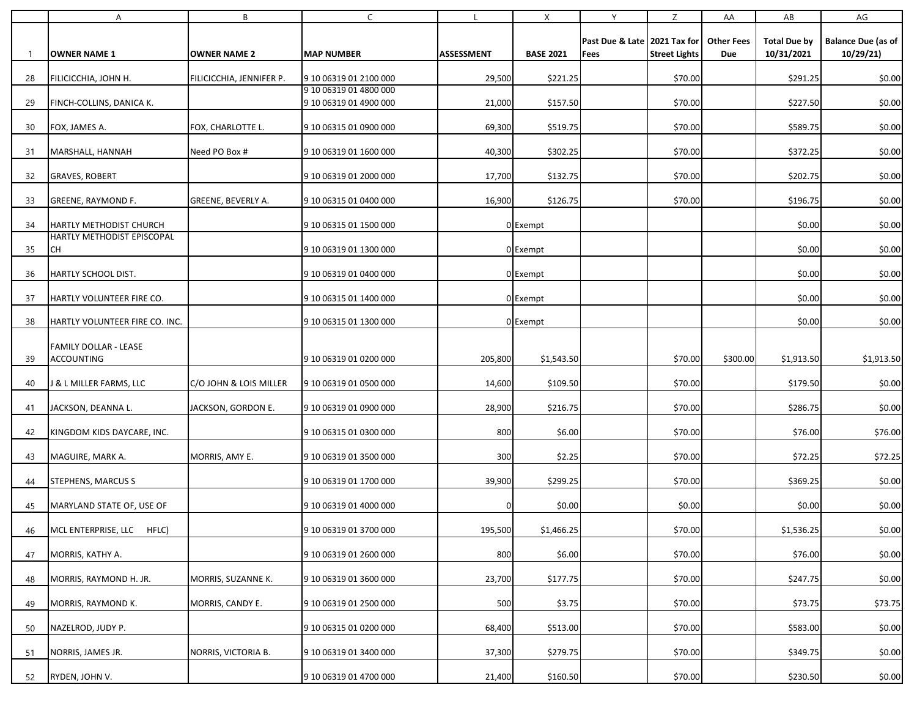|                | A                                   | B                        | $\mathsf{C}$                                     |                   | X                | Y                                      | Z                    | AA                       | ${\sf AB}$                        | AG                              |
|----------------|-------------------------------------|--------------------------|--------------------------------------------------|-------------------|------------------|----------------------------------------|----------------------|--------------------------|-----------------------------------|---------------------------------|
| $\overline{1}$ | <b>OWNER NAME 1</b>                 | <b>OWNER NAME 2</b>      | <b>MAP NUMBER</b>                                | <b>ASSESSMENT</b> | <b>BASE 2021</b> | Past Due & Late   2021 Tax for<br>Fees | <b>Street Lights</b> | <b>Other Fees</b><br>Due | <b>Total Due by</b><br>10/31/2021 | Balance Due (as of<br>10/29/21) |
| 28             | FILICICCHIA, JOHN H.                | FILICICCHIA, JENNIFER P. | 9 10 06319 01 2100 000                           | 29,500            | \$221.25         |                                        | \$70.00              |                          | \$291.25                          | \$0.00                          |
| 29             | FINCH-COLLINS, DANICA K.            |                          | 9 10 06319 01 4800 000<br>9 10 06319 01 4900 000 | 21,000            | \$157.50         |                                        | \$70.00              |                          | \$227.50                          | \$0.00                          |
| 30             | FOX, JAMES A.                       | FOX, CHARLOTTE L.        | 9 10 06315 01 0900 000                           | 69,300            | \$519.75         |                                        | \$70.00              |                          | \$589.75                          | \$0.00                          |
| 31             | MARSHALL, HANNAH                    | Need PO Box #            | 9 10 06319 01 1600 000                           | 40,300            | \$302.25         |                                        | \$70.00              |                          | \$372.25                          | \$0.00                          |
| 32             | <b>GRAVES, ROBERT</b>               |                          | 9 10 06319 01 2000 000                           | 17,700            | \$132.75         |                                        | \$70.00              |                          | \$202.75                          | \$0.00                          |
| -33            | GREENE, RAYMOND F.                  | GREENE, BEVERLY A.       | 9 10 06315 01 0400 000                           | 16,900            | \$126.75         |                                        | \$70.00              |                          | \$196.75                          | \$0.00                          |
| -34            | HARTLY METHODIST CHURCH             |                          | 9 10 06315 01 1500 000                           |                   | 0 Exempt         |                                        |                      |                          | \$0.00                            | \$0.00                          |
| 35             | HARTLY METHODIST EPISCOPAL<br>CH    |                          | 9 10 06319 01 1300 000                           |                   | 0 Exempt         |                                        |                      |                          | \$0.00                            | \$0.00                          |
| 36             | HARTLY SCHOOL DIST.                 |                          | 9 10 06319 01 0400 000                           |                   | 0 Exempt         |                                        |                      |                          | \$0.00                            | \$0.00                          |
| 37             | HARTLY VOLUNTEER FIRE CO.           |                          | 9 10 06315 01 1400 000                           |                   | 0 Exempt         |                                        |                      |                          | \$0.00                            | \$0.00                          |
| 38             | HARTLY VOLUNTEER FIRE CO. INC.      |                          | 9 10 06315 01 1300 000                           |                   | 0 Exempt         |                                        |                      |                          | \$0.00                            | \$0.00                          |
| 39             | FAMILY DOLLAR - LEASE<br>ACCOUNTING |                          | 9 10 06319 01 0200 000                           | 205,800           | \$1,543.50       |                                        | \$70.00              | \$300.00                 | \$1,913.50                        | \$1,913.50                      |
| 40             | J & L MILLER FARMS, LLC             | C/O JOHN & LOIS MILLER   | 9 10 06319 01 0500 000                           | 14,600            | \$109.50         |                                        | \$70.00              |                          | \$179.50                          | \$0.00                          |
| 41             | JACKSON, DEANNA L.                  | JACKSON, GORDON E.       | 9 10 06319 01 0900 000                           | 28,900            | \$216.75         |                                        | \$70.00              |                          | \$286.75                          | \$0.00                          |
| 42             | KINGDOM KIDS DAYCARE, INC.          |                          | 9 10 06315 01 0300 000                           | 800               | \$6.00           |                                        | \$70.00              |                          | \$76.00                           | \$76.00                         |
| 43             | MAGUIRE, MARK A.                    | MORRIS, AMY E.           | 9 10 06319 01 3500 000                           | 300               | \$2.25           |                                        | \$70.00              |                          | \$72.25                           | \$72.25                         |
| 44             | <b>STEPHENS, MARCUS S</b>           |                          | 9 10 06319 01 1700 000                           | 39,900            | \$299.25         |                                        | \$70.00              |                          | \$369.25                          | \$0.00                          |
| 45             | MARYLAND STATE OF, USE OF           |                          | 9 10 06319 01 4000 000                           |                   | \$0.00           |                                        | \$0.00               |                          | \$0.00                            | \$0.00                          |
| 46             | MCL ENTERPRISE, LLC HFLC)           |                          | 9 10 06319 01 3700 000                           | 195,500           | \$1,466.25       |                                        | \$70.00              |                          | \$1,536.25                        | \$0.00                          |
| 47             | MORRIS, KATHY A.                    |                          | 9 10 06319 01 2600 000                           | 800               | \$6.00           |                                        | \$70.00              |                          | \$76.00                           | \$0.00                          |
| 48             | MORRIS, RAYMOND H. JR.              | MORRIS, SUZANNE K.       | 9 10 06319 01 3600 000                           | 23,700            | \$177.75         |                                        | \$70.00              |                          | \$247.75                          | \$0.00                          |
| 49             | MORRIS, RAYMOND K.                  | MORRIS, CANDY E.         | 9 10 06319 01 2500 000                           | 500               | \$3.75           |                                        | \$70.00              |                          | \$73.75                           | \$73.75                         |
| 50             | NAZELROD, JUDY P.                   |                          | 9 10 06315 01 0200 000                           | 68,400            | \$513.00         |                                        | \$70.00              |                          | \$583.00                          | \$0.00                          |
| 51             | NORRIS, JAMES JR.                   | NORRIS, VICTORIA B.      | 9 10 06319 01 3400 000                           | 37,300            | \$279.75         |                                        | \$70.00              |                          | \$349.75                          | \$0.00                          |
| 52             | RYDEN, JOHN V.                      |                          | 9 10 06319 01 4700 000                           | 21,400            | \$160.50         |                                        | \$70.00              |                          | \$230.50                          | \$0.00                          |